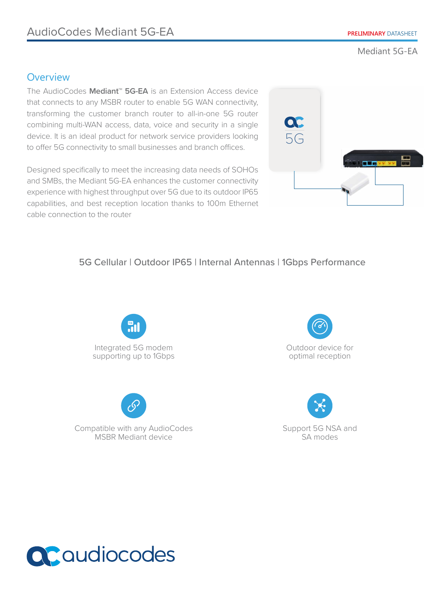Mediant 5G-EA

## **Overview**

The AudioCodes **Mediant™ 5G-EA** is an Extension Access device that connects to any MSBR router to enable 5G WAN connectivity, transforming the customer branch router to all-in-one 5G router combining multi-WAN access, data, voice and security in a single device. It is an ideal product for network service providers looking to offer 5G connectivity to small businesses and branch offices.

Designed specifically to meet the increasing data needs of SOHOs and SMBs, the Mediant 5G-EA enhances the customer connectivity experience with highest throughput over 5G due to its outdoor IP65 capabilities, and best reception location thanks to 100m Ethernet cable connection to the router



## 5G Cellular | Outdoor IP65 | Internal Antennas | 1Gbps Performance





Compatible with any AudioCodes MSBR Mediant device